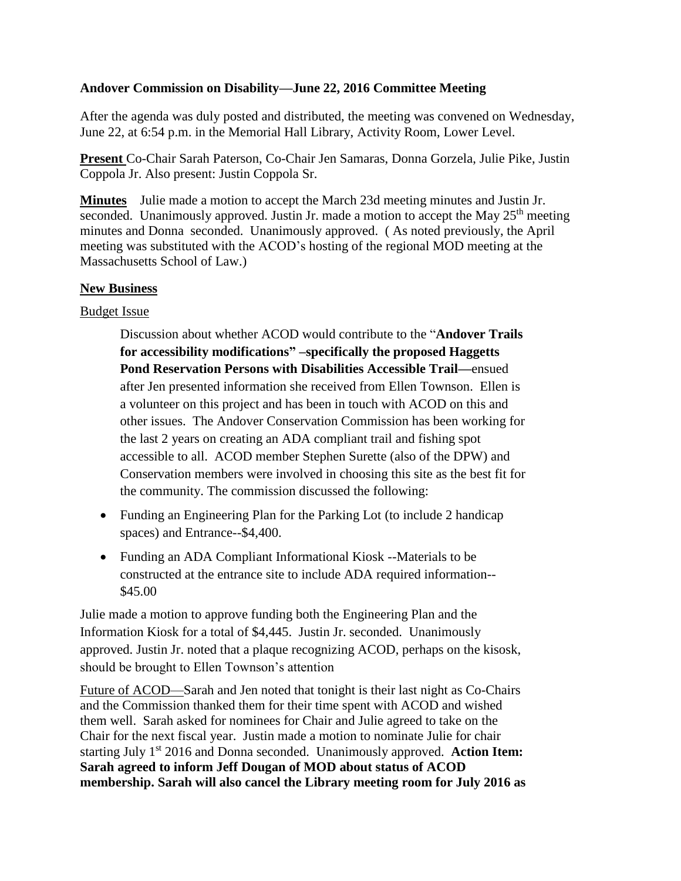## **Andover Commission on Disability—June 22, 2016 Committee Meeting**

After the agenda was duly posted and distributed, the meeting was convened on Wednesday, June 22, at 6:54 p.m. in the Memorial Hall Library, Activity Room, Lower Level.

**Present** Co-Chair Sarah Paterson, Co-Chair Jen Samaras, Donna Gorzela, Julie Pike, Justin Coppola Jr. Also present: Justin Coppola Sr.

**Minutes** Julie made a motion to accept the March 23d meeting minutes and Justin Jr. seconded. Unanimously approved. Justin Jr. made a motion to accept the May  $25<sup>th</sup>$  meeting minutes and Donna seconded. Unanimously approved. ( As noted previously, the April meeting was substituted with the ACOD's hosting of the regional MOD meeting at the Massachusetts School of Law.)

## **New Business**

## Budget Issue

Discussion about whether ACOD would contribute to the "**Andover Trails for accessibility modifications" –specifically the proposed Haggetts Pond Reservation Persons with Disabilities Accessible Trail—**ensued after Jen presented information she received from Ellen Townson. Ellen is a volunteer on this project and has been in touch with ACOD on this and other issues. The Andover Conservation Commission has been working for the last 2 years on creating an ADA compliant trail and fishing spot accessible to all. ACOD member Stephen Surette (also of the DPW) and Conservation members were involved in choosing this site as the best fit for the community. The commission discussed the following:

- Funding an Engineering Plan for the Parking Lot (to include 2 handicap spaces) and Entrance--\$4,400.
- Funding an ADA Compliant Informational Kiosk --Materials to be constructed at the entrance site to include ADA required information-- \$45.00

Julie made a motion to approve funding both the Engineering Plan and the Information Kiosk for a total of \$4,445. Justin Jr. seconded. Unanimously approved. Justin Jr. noted that a plaque recognizing ACOD, perhaps on the kisosk, should be brought to Ellen Townson's attention

Future of ACOD—Sarah and Jen noted that tonight is their last night as Co-Chairs and the Commission thanked them for their time spent with ACOD and wished them well. Sarah asked for nominees for Chair and Julie agreed to take on the Chair for the next fiscal year. Justin made a motion to nominate Julie for chair starting July 1st 2016 and Donna seconded. Unanimously approved. **Action Item: Sarah agreed to inform Jeff Dougan of MOD about status of ACOD membership. Sarah will also cancel the Library meeting room for July 2016 as**